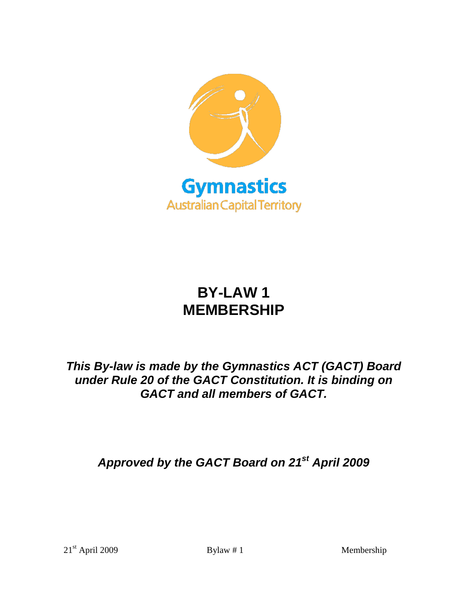

# **BY-LAW 1 MEMBERSHIP**

# *This By-law is made by the Gymnastics ACT (GACT) Board under Rule 20 of the GACT Constitution. It is binding on GACT and all members of GACT.*

*Approved by the GACT Board on 21st April 2009*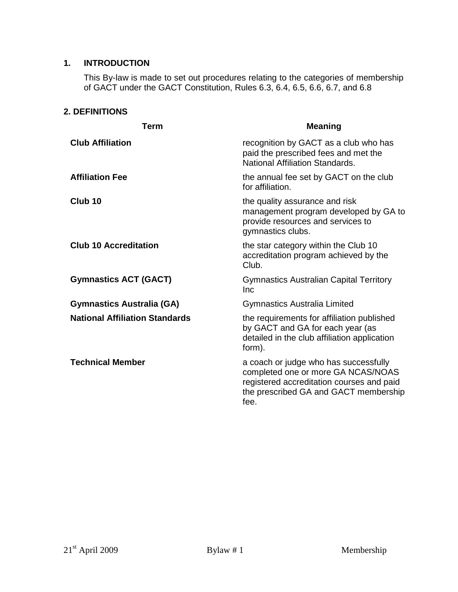#### **1. INTRODUCTION**

This By-law is made to set out procedures relating to the categories of membership of GACT under the GACT Constitution, Rules 6.3, 6.4, 6.5, 6.6, 6.7, and 6.8

# **2. DEFINITIONS**

| Term                                  | <b>Meaning</b>                                                                                                                                                            |  |
|---------------------------------------|---------------------------------------------------------------------------------------------------------------------------------------------------------------------------|--|
| <b>Club Affiliation</b>               | recognition by GACT as a club who has<br>paid the prescribed fees and met the<br>National Affiliation Standards.                                                          |  |
| <b>Affiliation Fee</b>                | the annual fee set by GACT on the club<br>for affiliation.                                                                                                                |  |
| Club <sub>10</sub>                    | the quality assurance and risk<br>management program developed by GA to<br>provide resources and services to<br>gymnastics clubs.                                         |  |
| <b>Club 10 Accreditation</b>          | the star category within the Club 10<br>accreditation program achieved by the<br>Club.                                                                                    |  |
| <b>Gymnastics ACT (GACT)</b>          | <b>Gymnastics Australian Capital Territory</b><br>Inc                                                                                                                     |  |
| <b>Gymnastics Australia (GA)</b>      | <b>Gymnastics Australia Limited</b>                                                                                                                                       |  |
| <b>National Affiliation Standards</b> | the requirements for affiliation published<br>by GACT and GA for each year (as<br>detailed in the club affiliation application<br>form).                                  |  |
| <b>Technical Member</b>               | a coach or judge who has successfully<br>completed one or more GA NCAS/NOAS<br>registered accreditation courses and paid<br>the prescribed GA and GACT membership<br>fee. |  |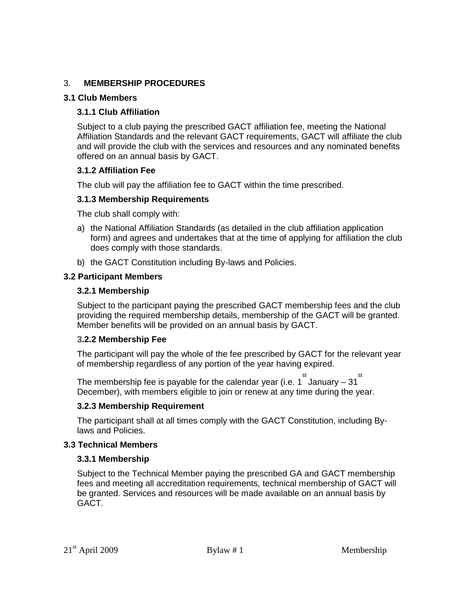# 3. **MEMBERSHIP PROCEDURES**

#### **3.1 Club Members**

# **3.1.1 Club Affiliation**

Subject to a club paying the prescribed GACT affiliation fee, meeting the National Affiliation Standards and the relevant GACT requirements, GACT will affiliate the club and will provide the club with the services and resources and any nominated benefits offered on an annual basis by GACT.

# **3.1.2 Affiliation Fee**

The club will pay the affiliation fee to GACT within the time prescribed.

#### **3.1.3 Membership Requirements**

The club shall comply with:

- a) the National Affiliation Standards (as detailed in the club affiliation application form) and agrees and undertakes that at the time of applying for affiliation the club does comply with those standards.
- b) the GACT Constitution including By-laws and Policies.

#### **3.2 Participant Members**

#### **3.2.1 Membership**

Subject to the participant paying the prescribed GACT membership fees and the club providing the required membership details, membership of the GACT will be granted. Member benefits will be provided on an annual basis by GACT.

#### 3**.2.2 Membership Fee**

The participant will pay the whole of the fee prescribed by GACT for the relevant year of membership regardless of any portion of the year having expired.

The membership fee is payable for the calendar year (i.e. 1  $\degree$  January – 31  $\degree$ December), with members eligible to join or renew at any time during the year.

# **3.2.3 Membership Requirement**

The participant shall at all times comply with the GACT Constitution, including Bylaws and Policies.

#### **3.3 Technical Members**

# **3.3.1 Membership**

Subject to the Technical Member paying the prescribed GA and GACT membership fees and meeting all accreditation requirements, technical membership of GACT will be granted. Services and resources will be made available on an annual basis by GACT.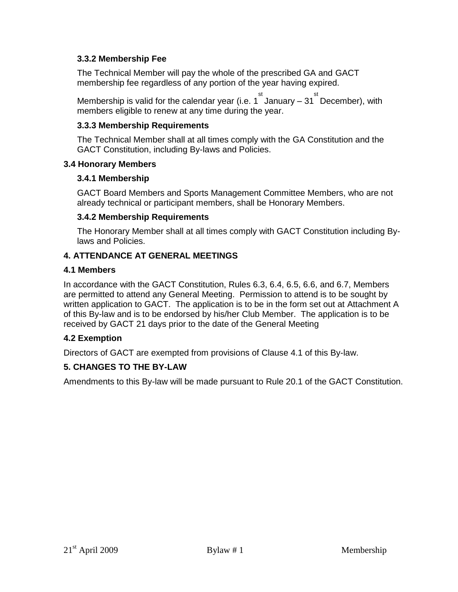# **3.3.2 Membership Fee**

The Technical Member will pay the whole of the prescribed GA and GACT membership fee regardless of any portion of the year having expired.

Membership is valid for the calendar year (i.e. 1 January – 31 December), with members eligible to renew at any time during the year.

# **3.3.3 Membership Requirements**

The Technical Member shall at all times comply with the GA Constitution and the GACT Constitution, including By-laws and Policies.

# **3.4 Honorary Members**

# **3.4.1 Membership**

GACT Board Members and Sports Management Committee Members, who are not already technical or participant members, shall be Honorary Members.

# **3.4.2 Membership Requirements**

The Honorary Member shall at all times comply with GACT Constitution including Bylaws and Policies.

# **4. ATTENDANCE AT GENERAL MEETINGS**

# **4.1 Members**

In accordance with the GACT Constitution, Rules 6.3, 6.4, 6.5, 6.6, and 6.7, Members are permitted to attend any General Meeting. Permission to attend is to be sought by written application to GACT. The application is to be in the form set out at Attachment A of this By-law and is to be endorsed by his/her Club Member. The application is to be received by GACT 21 days prior to the date of the General Meeting

# **4.2 Exemption**

Directors of GACT are exempted from provisions of Clause 4.1 of this By-law.

# **5. CHANGES TO THE BY-LAW**

Amendments to this By-law will be made pursuant to Rule 20.1 of the GACT Constitution.